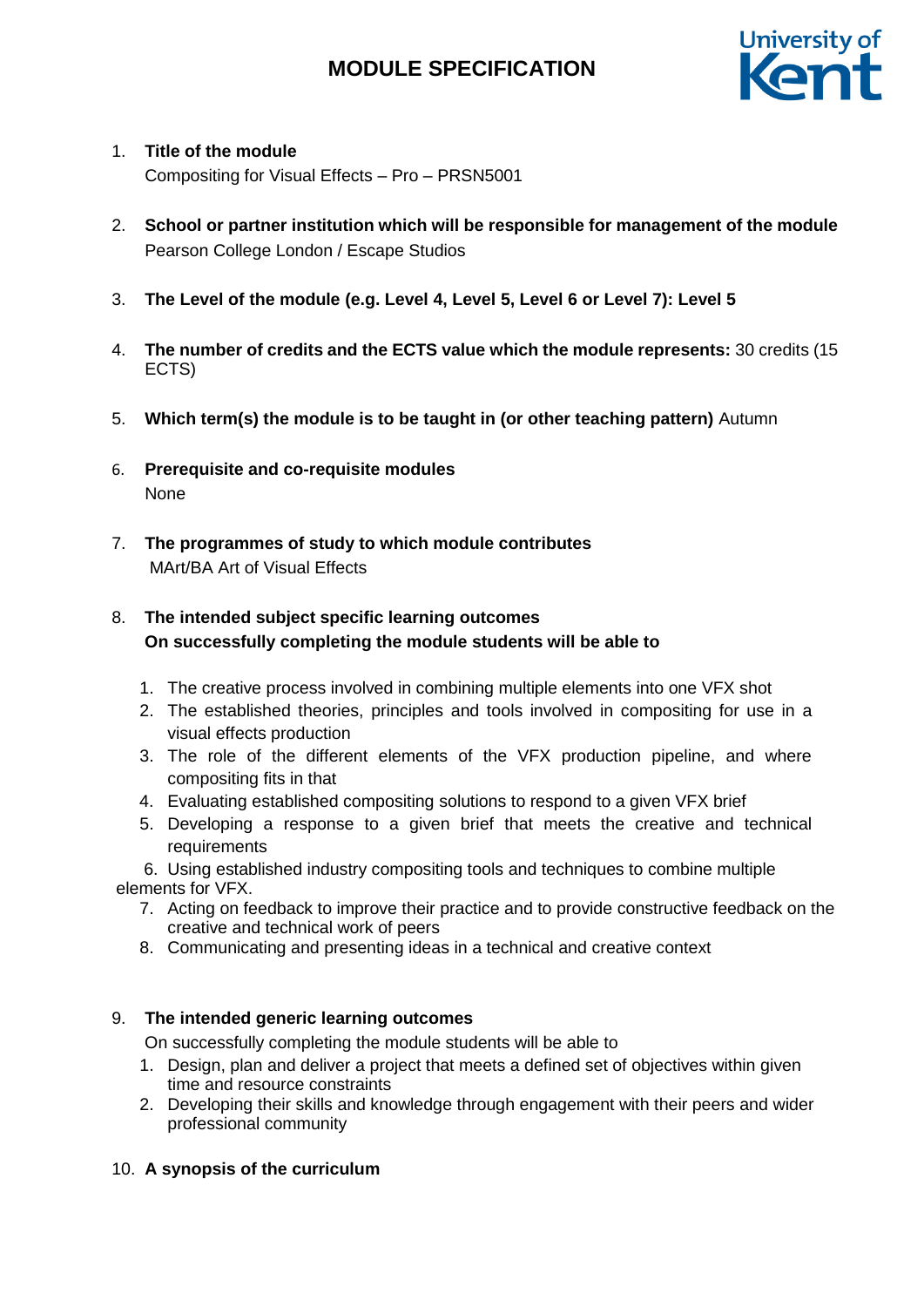

## 1. **Title of the module**

Compositing for Visual Effects – Pro – PRSN5001

- 2. **School or partner institution which will be responsible for management of the module** Pearson College London / Escape Studios
- 3. **The Level of the module (e.g. Level 4, Level 5, Level 6 or Level 7): Level 5**
- 4. **The number of credits and the ECTS value which the module represents:** 30 credits (15 ECTS)
- 5. **Which term(s) the module is to be taught in (or other teaching pattern)** Autumn
- 6. **Prerequisite and co-requisite modules**  None
- 7. **The programmes of study to which module contributes**  MArt/BA Art of Visual Effects

## 8. **The intended subject specific learning outcomes On successfully completing the module students will be able to**

- 1. The creative process involved in combining multiple elements into one VFX shot
- 2. The established theories, principles and tools involved in compositing for use in a visual effects production
- 3. The role of the different elements of the VFX production pipeline, and where compositing fits in that
- 4. Evaluating established compositing solutions to respond to a given VFX brief
- 5. Developing a response to a given brief that meets the creative and technical requirements

6. Using established industry compositing tools and techniques to combine multiple elements for VFX.

- 7. Acting on feedback to improve their practice and to provide constructive feedback on the creative and technical work of peers
- 8. Communicating and presenting ideas in a technical and creative context

## 9. **The intended generic learning outcomes**

On successfully completing the module students will be able to

- 1. Design, plan and deliver a project that meets a defined set of objectives within given time and resource constraints
- 2. Developing their skills and knowledge through engagement with their peers and wider professional community

## 10. **A synopsis of the curriculum**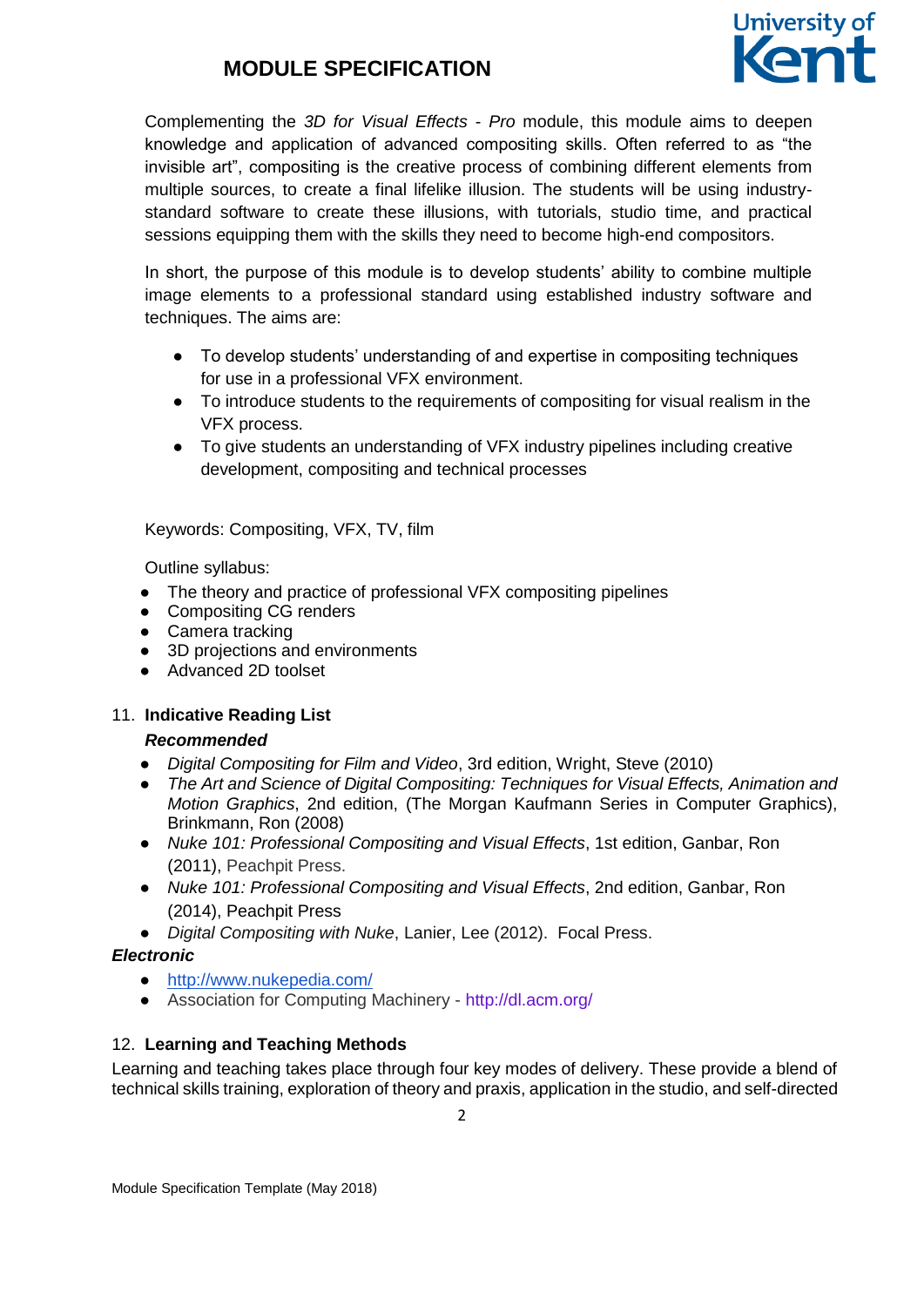

Complementing the *3D for Visual Effects - Pro* module, this module aims to deepen knowledge and application of advanced compositing skills. Often referred to as "the invisible art", compositing is the creative process of combining different elements from multiple sources, to create a final lifelike illusion. The students will be using industrystandard software to create these illusions, with tutorials, studio time, and practical sessions equipping them with the skills they need to become high-end compositors.

In short, the purpose of this module is to develop students' ability to combine multiple image elements to a professional standard using established industry software and techniques. The aims are:

- To develop students' understanding of and expertise in compositing techniques for use in a professional VFX environment.
- To introduce students to the requirements of compositing for visual realism in the VFX process.
- To give students an understanding of VFX industry pipelines including creative development, compositing and technical processes

Keywords: Compositing, VFX, TV, film

Outline syllabus:

- The theory and practice of professional VFX compositing pipelines
- Compositing CG renders
- Camera tracking
- 3D projections and environments
- Advanced 2D toolset

#### 11. **Indicative Reading List**

#### *Recommended*

- *Digital Compositing for Film and Video*, 3rd edition, Wright, Steve (2010)
- *The Art and Science of Digital Compositing: Techniques for Visual Effects, Animation and Motion Graphics*, 2nd edition, (The Morgan Kaufmann Series in Computer Graphics), Brinkmann, Ron (2008)
- *Nuke 101: Professional Compositing and Visual Effects*, 1st edition, Ganbar, Ron (2011), Peachpit Press.
- *Nuke 101: Professional Compositing and Visual Effects*, 2nd edition, Ganbar, Ron (2014), Peachpit Press
- *Digital Compositing with Nuke*, Lanier, Lee (2012). Focal Press.

#### *Electronic*

- <http://www.nukepedia.com/>
- Association for Computing Machinery <http://dl.acm.org/>

## 12. **Learning and Teaching Methods**

Learning and teaching takes place through four key modes of delivery. These provide a blend of technical skills training, exploration of theory and praxis, application in the studio, and self-directed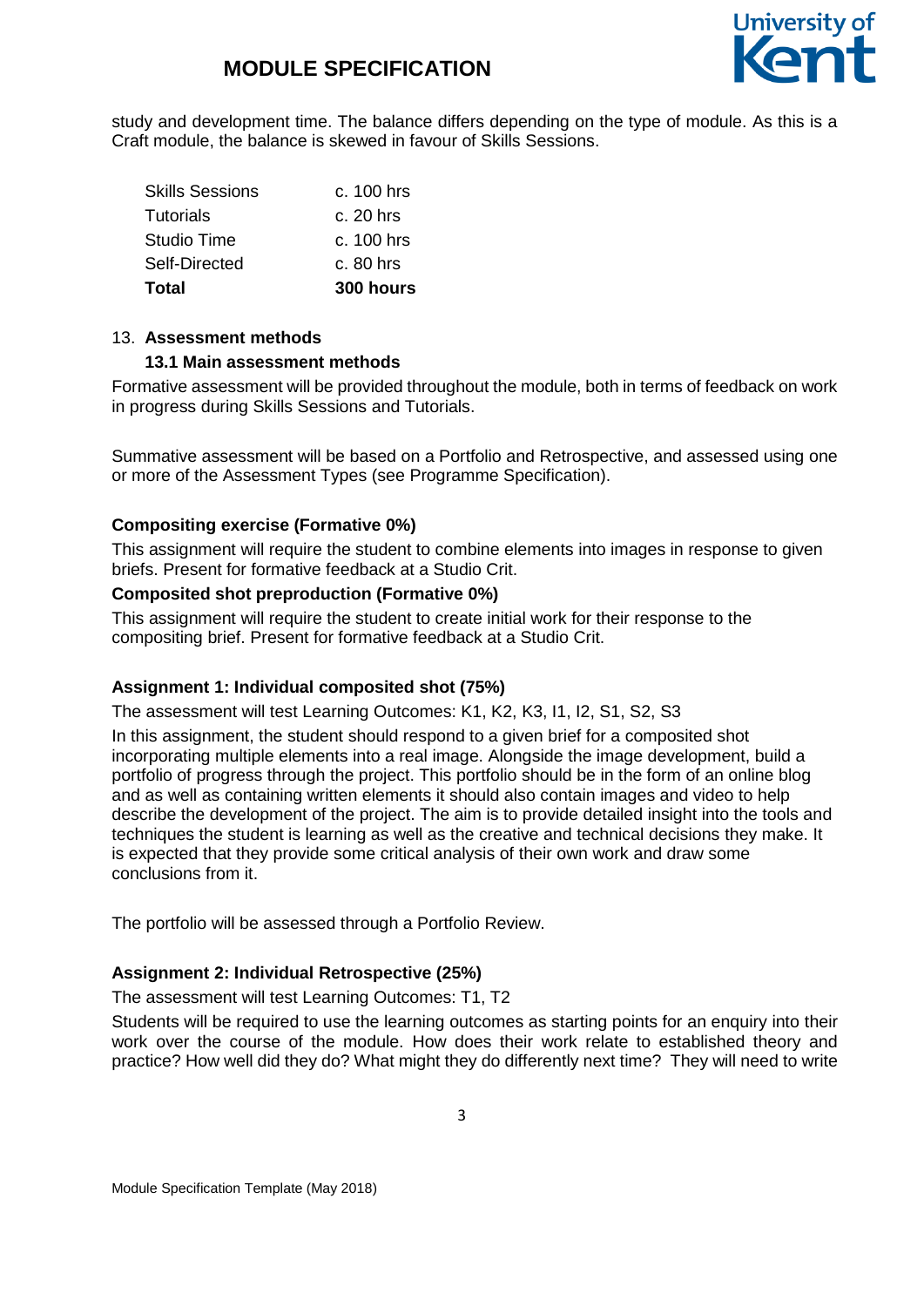

study and development time. The balance differs depending on the type of module. As this is a Craft module, the balance is skewed in favour of Skills Sessions.

| Total                  | 300 hours    |
|------------------------|--------------|
| Self-Directed          | $c.80$ hrs   |
| Studio Time            | $c. 100$ hrs |
| <b>Tutorials</b>       | $c. 20$ hrs  |
| <b>Skills Sessions</b> | c. 100 hrs   |

#### 13. **Assessment methods**

#### **13.1 Main assessment methods**

Formative assessment will be provided throughout the module, both in terms of feedback on work in progress during Skills Sessions and Tutorials.

Summative assessment will be based on a Portfolio and Retrospective, and assessed using one or more of the Assessment Types (see Programme Specification).

#### **Compositing exercise (Formative 0%)**

This assignment will require the student to combine elements into images in response to given briefs. Present for formative feedback at a Studio Crit.

#### **Composited shot preproduction (Formative 0%)**

This assignment will require the student to create initial work for their response to the compositing brief. Present for formative feedback at a Studio Crit.

#### **Assignment 1: Individual composited shot (75%)**

The assessment will test Learning Outcomes: K1, K2, K3, I1, I2, S1, S2, S3

In this assignment, the student should respond to a given brief for a composited shot incorporating multiple elements into a real image. Alongside the image development, build a portfolio of progress through the project. This portfolio should be in the form of an online blog and as well as containing written elements it should also contain images and video to help describe the development of the project. The aim is to provide detailed insight into the tools and techniques the student is learning as well as the creative and technical decisions they make. It is expected that they provide some critical analysis of their own work and draw some conclusions from it.

The portfolio will be assessed through a Portfolio Review.

#### **Assignment 2: Individual Retrospective (25%)**

The assessment will test Learning Outcomes: T1, T2

Students will be required to use the learning outcomes as starting points for an enquiry into their work over the course of the module. How does their work relate to established theory and practice? How well did they do? What might they do differently next time? They will need to write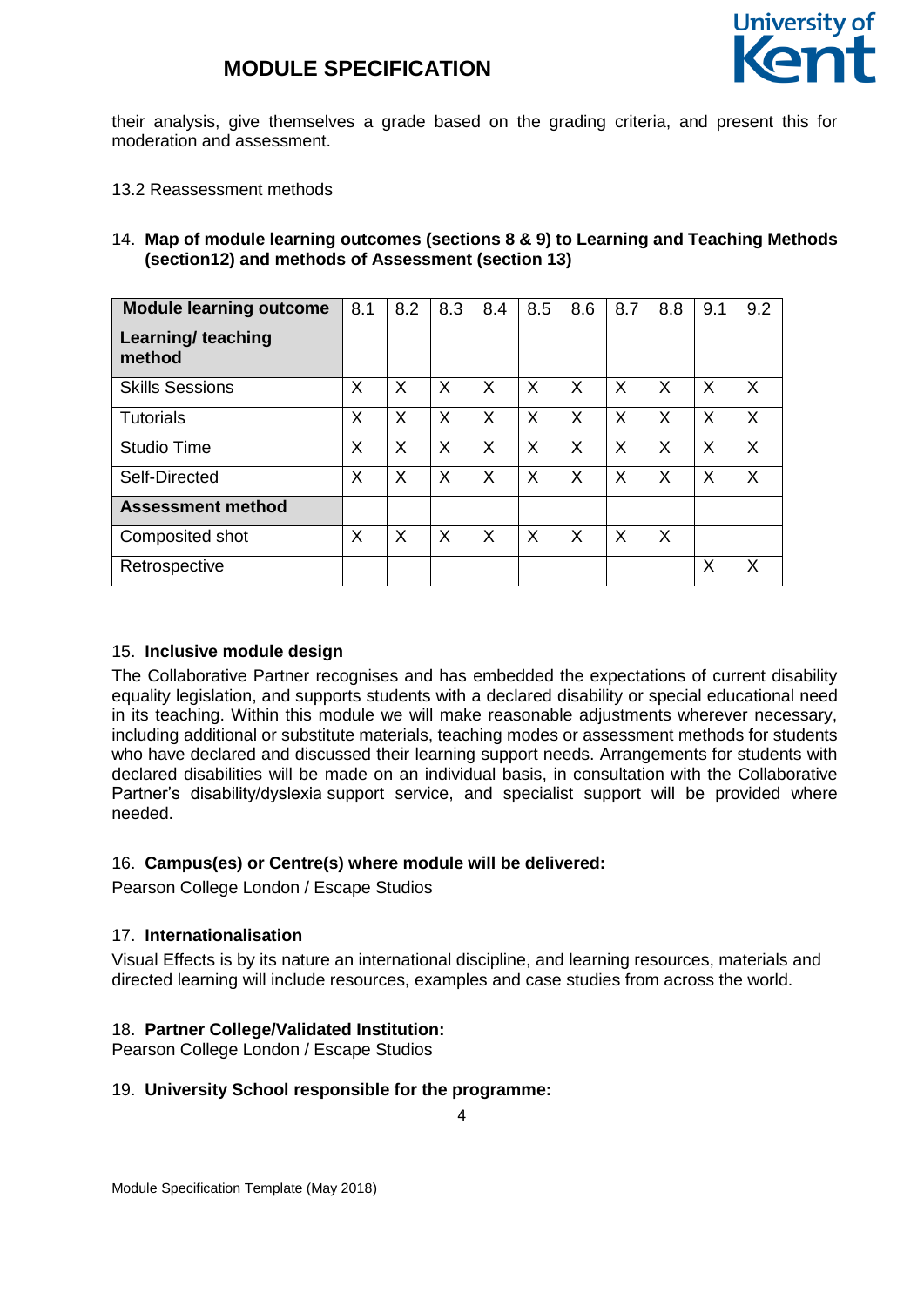

their analysis, give themselves a grade based on the grading criteria, and present this for moderation and assessment.

13.2 Reassessment methods

#### 14. **Map of module learning outcomes (sections 8 & 9) to Learning and Teaching Methods (section12) and methods of Assessment (section 13)**

| <b>Module learning outcome</b>      | 8.1 | 8.2 | 8.3 | 8.4     | 8.5      | 8.6      | 8.7 | 8.8 | 9.1      | 9.2 |
|-------------------------------------|-----|-----|-----|---------|----------|----------|-----|-----|----------|-----|
| <b>Learning/ teaching</b><br>method |     |     |     |         |          |          |     |     |          |     |
| <b>Skills Sessions</b>              | X   | X   | X   | $\sf X$ | $\times$ | X        | X   | X   | $\times$ | X   |
| <b>Tutorials</b>                    | X   | X   | X   | X       | X        | $\times$ | X   | X   | $\times$ | X   |
| <b>Studio Time</b>                  | X   | X   | X   | X       | X        | X        | Х   | X   | X        | X   |
| Self-Directed                       | X   | X   | X   | X       | X        | X        | X   | X   | X        | X   |
| <b>Assessment method</b>            |     |     |     |         |          |          |     |     |          |     |
| Composited shot                     | X   | X   | X   | X       | X        | X        | X   | X   |          |     |
| Retrospective                       |     |     |     |         |          |          |     |     | X        | X   |

#### 15. **Inclusive module design**

The Collaborative Partner recognises and has embedded the expectations of current disability equality legislation, and supports students with a declared disability or special educational need in its teaching. Within this module we will make reasonable adjustments wherever necessary, including additional or substitute materials, teaching modes or assessment methods for students who have declared and discussed their learning support needs. Arrangements for students with declared disabilities will be made on an individual basis, in consultation with the Collaborative Partner's disability/dyslexia support service, and specialist support will be provided where needed.

#### 16. **Campus(es) or Centre(s) where module will be delivered:**

Pearson College London / Escape Studios

#### 17. **Internationalisation**

Visual Effects is by its nature an international discipline, and learning resources, materials and directed learning will include resources, examples and case studies from across the world.

#### 18. **Partner College/Validated Institution:**

Pearson College London / Escape Studios

#### 19. **University School responsible for the programme:**